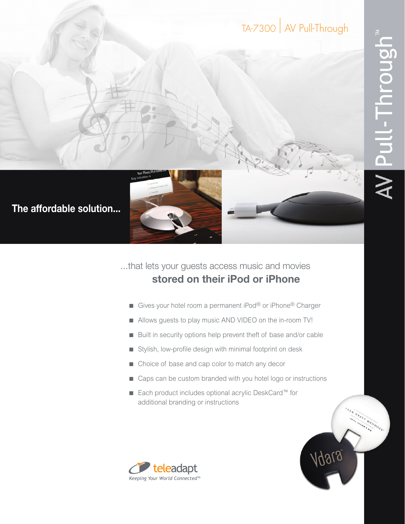## TA-7300 | AV Pull-Through

INVATT MENDOZA.

Agela



**The affordable solution...**

...that lets your guests access music and movies **stored on their iPod or iPhone** 

- Gives your hotel room a permanent iPod® or iPhone® Charger
- Allows guests to play music AND VIDEO on the in-room TV!
- Built in security options help prevent theft of base and/or cable
- Stylish, low-profile design with minimal footprint on desk
- Choice of base and cap color to match any decor
- Caps can be custom branded with you hotel logo or instructions
- Each product includes optional acrylic DeskCard™ for additional branding or instructions